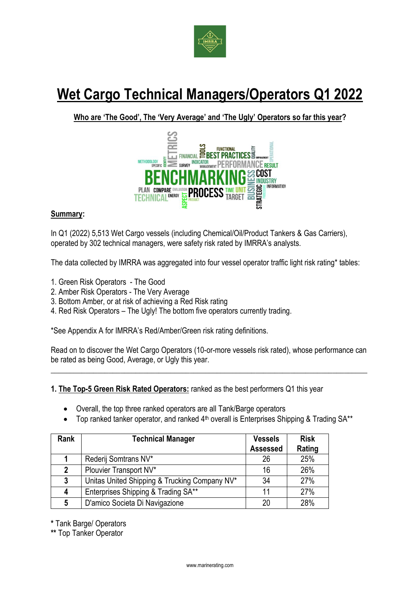

# **Wet Cargo Technical Managers/Operators Q1 2022**

**Who are 'The Good', The 'Very Average' and 'The Ugly' Operators so far this year?**



## **Summary:**

In Q1 (2022) 5,513 Wet Cargo vessels (including Chemical/Oil/Product Tankers & Gas Carriers), operated by 302 technical managers, were safety risk rated by IMRRA's analysts.

The data collected by IMRRA was aggregated into four vessel operator traffic light risk rating\* tables:

- 1. Green Risk Operators The Good
- 2. Amber Risk Operators The Very Average
- 3. Bottom Amber, or at risk of achieving a Red Risk rating
- 4. Red Risk Operators The Ugly! The bottom five operators currently trading.

\*See Appendix A for IMRRA's Red/Amber/Green risk rating definitions.

Read on to discover the Wet Cargo Operators (10-or-more vessels risk rated), whose performance can be rated as being Good, Average, or Ugly this year.

\_\_\_\_\_\_\_\_\_\_\_\_\_\_\_\_\_\_\_\_\_\_\_\_\_\_\_\_\_\_\_\_\_\_\_\_\_\_\_\_\_\_\_\_\_\_\_\_\_\_\_\_\_\_\_\_\_\_\_\_\_\_\_\_\_\_\_\_\_\_\_\_\_\_\_\_\_\_\_\_\_\_

## **1. The Top-5 Green Risk Rated Operators:** ranked as the best performers Q1 this year

- Overall, the top three ranked operators are all Tank/Barge operators
- Top ranked tanker operator, and ranked  $4<sup>th</sup>$  overall is Enterprises Shipping & Trading SA\*\*

| Rank         | <b>Technical Manager</b>                      | <b>Vessels</b>  | <b>Risk</b> |
|--------------|-----------------------------------------------|-----------------|-------------|
|              |                                               | <b>Assessed</b> | Rating      |
|              | Rederij Somtrans NV*                          | 26              | 25%         |
| $\mathbf{2}$ | Plouvier Transport NV*                        | 16              | 26%         |
| 3            | Unitas United Shipping & Trucking Company NV* | 34              | 27%         |
| 4            | Enterprises Shipping & Trading SA**           | 11              | 27%         |
| 5            | D'amico Societa Di Navigazione                | 20              | 28%         |

**\*** Tank Barge/ Operators

**\*\*** Top Tanker Operator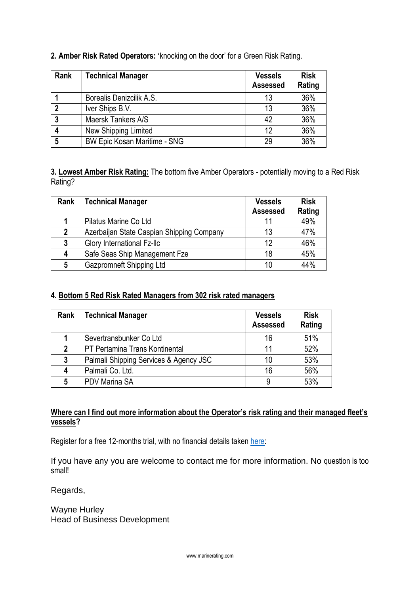| 2. Amber Risk Rated Operators: 'knocking on the door' for a Green Risk Rating. |  |  |
|--------------------------------------------------------------------------------|--|--|
|--------------------------------------------------------------------------------|--|--|

| Rank | <b>Technical Manager</b>            | <b>Vessels</b><br><b>Assessed</b> | <b>Risk</b><br>Rating |
|------|-------------------------------------|-----------------------------------|-----------------------|
|      | Borealis Denizcilik A.S.            | 13                                | 36%                   |
| 2    | Iver Ships B.V.                     | 13                                | 36%                   |
|      | Maersk Tankers A/S                  | 42                                | 36%                   |
|      | New Shipping Limited                | 12                                | 36%                   |
| 5    | <b>BW Epic Kosan Maritime - SNG</b> | 29                                | 36%                   |

**3. Lowest Amber Risk Rating:** The bottom five Amber Operators - potentially moving to a Red Risk Rating?

| Rank | <b>Technical Manager</b>                  | <b>Vessels</b><br><b>Assessed</b> | <b>Risk</b><br>Rating |
|------|-------------------------------------------|-----------------------------------|-----------------------|
|      | Pilatus Marine Co Ltd                     |                                   | 49%                   |
|      |                                           |                                   |                       |
| 2    | Azerbaijan State Caspian Shipping Company | 13                                | 47%                   |
| 3    | Glory International Fz-Ilc                | 12                                | 46%                   |
| 4    | Safe Seas Ship Management Fze             | 18                                | 45%                   |
| 5    | Gazpromneft Shipping Ltd                  | 10                                | 44%                   |

# **4. Bottom 5 Red Risk Rated Managers from 302 risk rated managers**

| Rank           | <b>Technical Manager</b>               | <b>Vessels</b><br><b>Assessed</b> | <b>Risk</b><br>Rating |
|----------------|----------------------------------------|-----------------------------------|-----------------------|
|                | Severtransbunker Co Ltd                | 16                                | 51%                   |
| $\mathfrak{p}$ | PT Pertamina Trans Kontinental         | 11                                | 52%                   |
| 3              | Palmali Shipping Services & Agency JSC | 10                                | 53%                   |
|                | Palmali Co. Ltd.                       | 16                                | 56%                   |
| 5              | <b>PDV Marina SA</b>                   | 9                                 | 53%                   |

# **Where can I find out more information about the Operator's risk rating and their managed fleet's vessels?**

Register for a free 12-months trial, with no financial details taken [here:](https://www.marinerating.com/vessel-operator-search-liquid-cargo)

If you have any you are welcome to contact me for more information. No question is too small!

Regards,

Wayne Hurley Head of Business Development